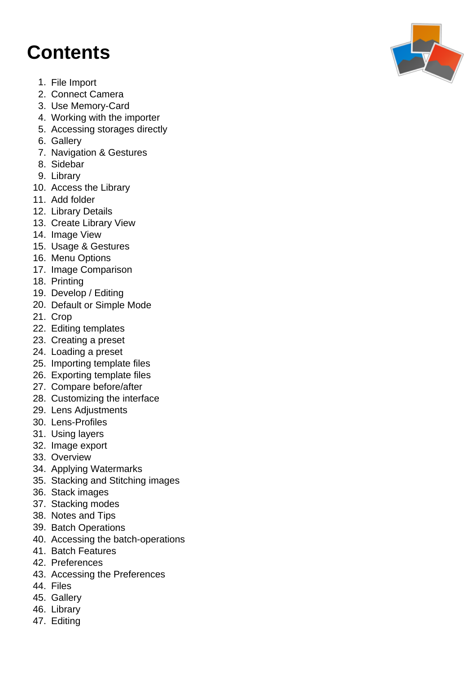### **Contents**

- 1. File Import
- 2. Connect Camera
- 3. Use Memory-Card
- 4. Working with the importer
- 5. Accessing storages directly
- 6. Gallery
- 7. Navigation & Gestures
- 8. Sidebar
- 9. Library
- 10. Access the Library
- 11. Add folder
- 12. Library Details
- 13. Create Library View
- 14. Image View
- 15. Usage & Gestures
- 16. Menu Options
- 17. Image Comparison
- 18. Printing
- 19. Develop / Editing
- 20. Default or Simple Mode
- 21. Crop
- 22. Editing templates
- 23. Creating a preset
- 24. Loading a preset
- 25. Importing template files
- 26. Exporting template files
- 27. Compare before/after
- 28. Customizing the interface
- 29. Lens Adjustments
- 30. Lens-Profiles
- 31. Using layers
- 32. Image export
- 33. Overview
- 34. Applying Watermarks
- 35. Stacking and Stitching images
- 36. Stack images
- 37. Stacking modes
- 38. Notes and Tips
- 39. Batch Operations
- 40. Accessing the batch-operations
- 41. Batch Features
- 42. Preferences
- 43. Accessing the Preferences
- 44. Files
- 45. Gallery
- 46. Library
- 47. Editing

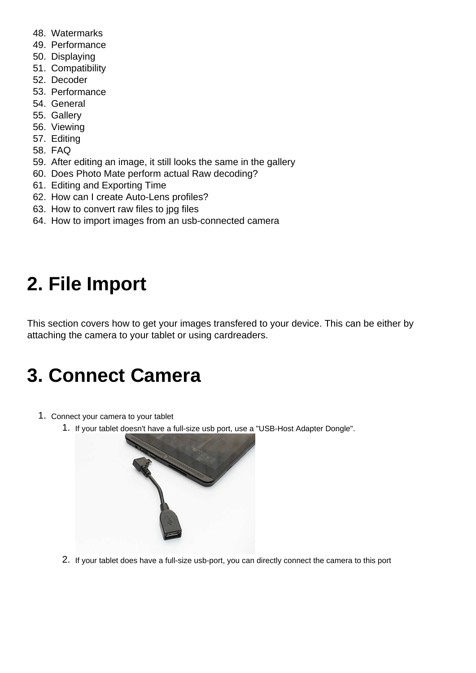- 48. Watermarks
- 49. Performance
- 50. Displaying
- 51. Compatibility
- 52. Decoder
- 53. Performance
- 54. General
- 55. Gallery
- 56. Viewing
- 57. Editing
- 58. FAQ
- 59. After editing an image, it still looks the same in the gallery
- 60. Does Photo Mate perform actual Raw decoding?
- 61. Editing and Exporting Time
- 62. How can I create Auto-Lens profiles?
- 63. How to convert raw files to jpg files
- 64. How to import images from an usb-connected camera

# **2. File Import**

This section covers how to get your images transfered to your device. This can be either by attaching the camera to your tablet or using cardreaders.

## **3. Connect Camera**

- 1. Connect your camera to your tablet
	- 1. If your tablet doesn't have a full-size usb port, use a "USB-Host Adapter Dongle".



2. If your tablet does have a full-size usb-port, you can directly connect the camera to this port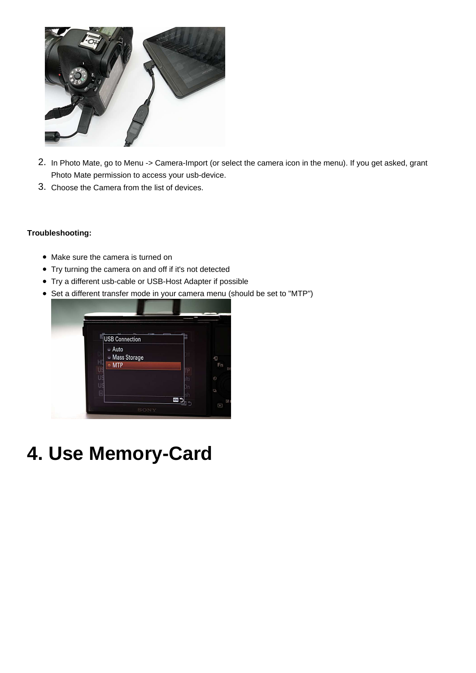

- 2. In Photo Mate, go to Menu -> Camera-Import (or select the camera icon in the menu). If you get asked, grant Photo Mate permission to access your usb-device.
- 3. Choose the Camera from the list of devices.

#### **Troubleshooting:**

- Make sure the camera is turned on
- Try turning the camera on and off if it's not detected
- Try a different usb-cable or USB-Host Adapter if possible
- Set a different transfer mode in your camera menu (should be set to "MTP")



**4. Use Memory-Card**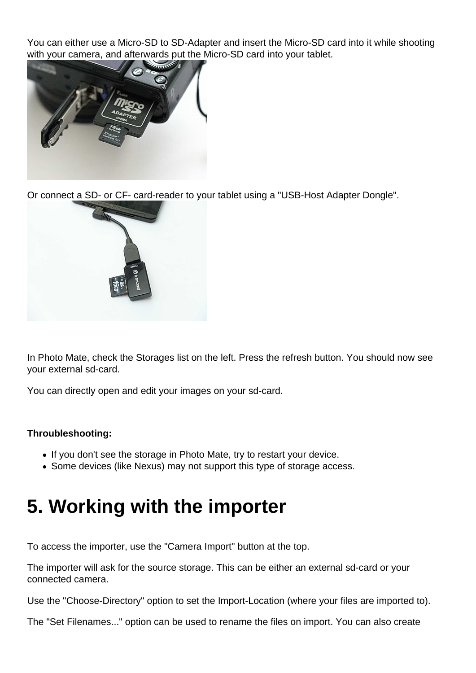You can either use a Micro-SD to SD-Adapter and insert the Micro-SD card into it while shooting with your camera, and afterwards put the Micro-SD card into your tablet.



Or connect a SD- or CF- card-reader to your tablet using a "USB-Host Adapter Dongle".



In Photo Mate, check the Storages list on the left. Press the refresh button. You should now see your external sd-card.

You can directly open and edit your images on your sd-card.

#### **Throubleshooting:**

- If you don't see the storage in Photo Mate, try to restart your device.
- Some devices (like Nexus) may not support this type of storage access.

# **5. Working with the importer**

To access the importer, use the "Camera Import" button at the top.

The importer will ask for the source storage. This can be either an external sd-card or your connected camera.

Use the "Choose-Directory" option to set the Import-Location (where your files are imported to).

The "Set Filenames..." option can be used to rename the files on import. You can also create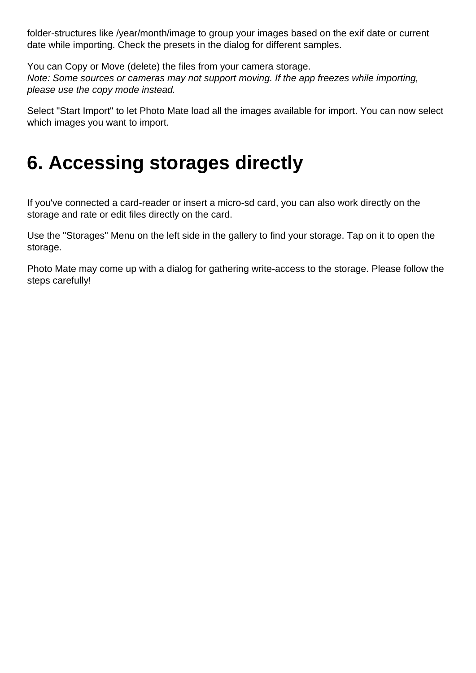folder-structures like /year/month/image to group your images based on the exif date or current date while importing. Check the presets in the dialog for different samples.

You can Copy or Move (delete) the files from your camera storage. Note: Some sources or cameras may not support moving. If the app freezes while importing, please use the copy mode instead.

Select "Start Import" to let Photo Mate load all the images available for import. You can now select which images you want to import.

### **6. Accessing storages directly**

If you've connected a card-reader or insert a micro-sd card, you can also work directly on the storage and rate or edit files directly on the card.

Use the "Storages" Menu on the left side in the gallery to find your storage. Tap on it to open the storage.

Photo Mate may come up with a dialog for gathering write-access to the storage. Please follow the steps carefully!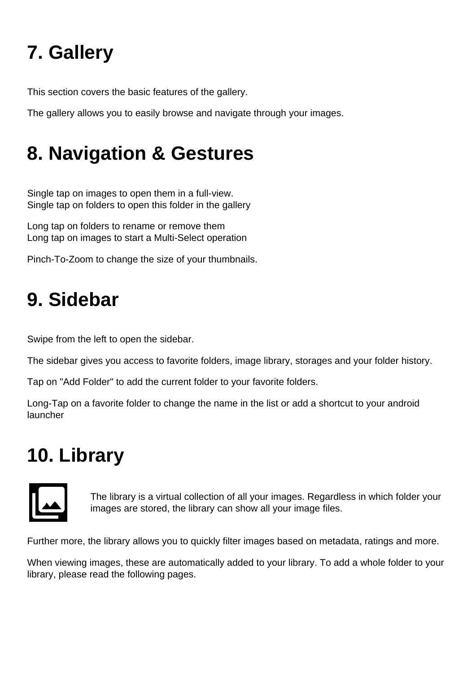# **7. Gallery**

This section covers the basic features of the gallery.

The gallery allows you to easily browse and navigate through your images.

# **8. Navigation & Gestures**

Single tap on images to open them in a full-view. Single tap on folders to open this folder in the gallery

Long tap on folders to rename or remove them Long tap on images to start a Multi-Select operation

Pinch-To-Zoom to change the size of your thumbnails.

### **9. Sidebar**

Swipe from the left to open the sidebar.

The sidebar gives you access to favorite folders, image library, storages and your folder history.

Tap on "Add Folder" to add the current folder to your favorite folders.

Long-Tap on a favorite folder to change the name in the list or add a shortcut to your android launcher

## **10. Library**



The library is a virtual collection of all your images. Regardless in which folder your images are stored, the library can show all your image files.

Further more, the library allows you to quickly filter images based on metadata, ratings and more.

When viewing images, these are automatically added to your library. To add a whole folder to your library, please read the following pages.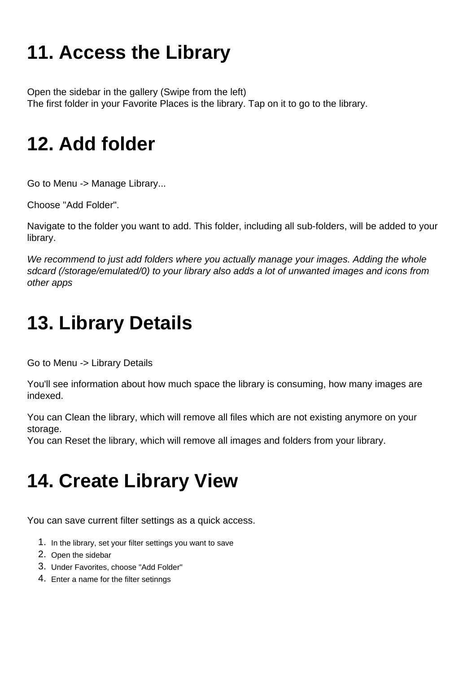# **11. Access the Library**

Open the sidebar in the gallery (Swipe from the left) The first folder in your Favorite Places is the library. Tap on it to go to the library.

## **12. Add folder**

Go to Menu -> Manage Library...

Choose "Add Folder".

Navigate to the folder you want to add. This folder, including all sub-folders, will be added to your library.

We recommend to just add folders where you actually manage your images. Adding the whole sdcard (/storage/emulated/0) to your library also adds a lot of unwanted images and icons from other apps

# **13. Library Details**

Go to Menu -> Library Details

You'll see information about how much space the library is consuming, how many images are indexed.

You can Clean the library, which will remove all files which are not existing anymore on your storage.

You can Reset the library, which will remove all images and folders from your library.

# **14. Create Library View**

You can save current filter settings as a quick access.

- 1. In the library, set your filter settings you want to save
- 2. Open the sidebar
- 3. Under Favorites, choose "Add Folder"
- 4. Enter a name for the filter setinngs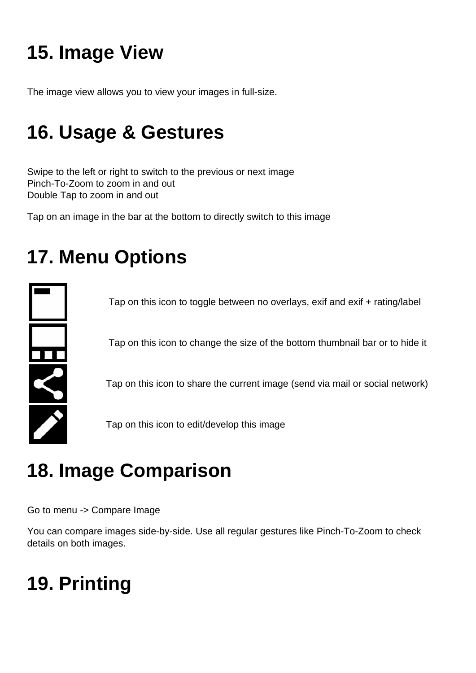# **15. Image View**

The image view allows you to view your images in full-size.

## **16. Usage & Gestures**

Swipe to the left or right to switch to the previous or next image Pinch-To-Zoom to zoom in and out Double Tap to zoom in and out

Tap on an image in the bar at the bottom to directly switch to this image

# **17. Menu Options**



Tap on this icon to toggle between no overlays, exif and exif + rating/label

Tap on this icon to change the size of the bottom thumbnail bar or to hide it

Tap on this icon to share the current image (send via mail or social network)

Tap on this icon to edit/develop this image

# **18. Image Comparison**

Go to menu -> Compare Image

You can compare images side-by-side. Use all regular gestures like Pinch-To-Zoom to check details on both images.

# **19. Printing**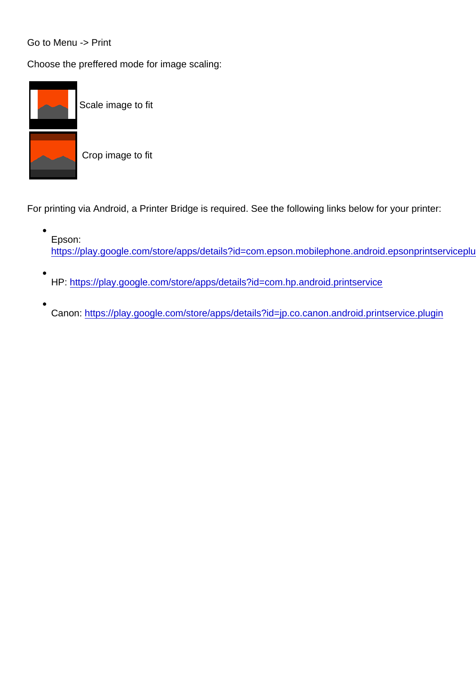#### Go to Menu -> Print

Choose the preffered mode for image scaling:



Scale image to fit

Crop image to fit

For printing via Android, a Printer Bridge is required. See the following links below for your printer:

- Epson: https://play.google.com/store/apps/details?id=com.epson.mobilephone.android.epsonprintserviceplu
- HP:<https://play.google.com/store/apps/details?id=com.hp.android.printservice>
- Canon:<https://play.google.com/store/apps/details?id=jp.co.canon.android.printservice.plugin>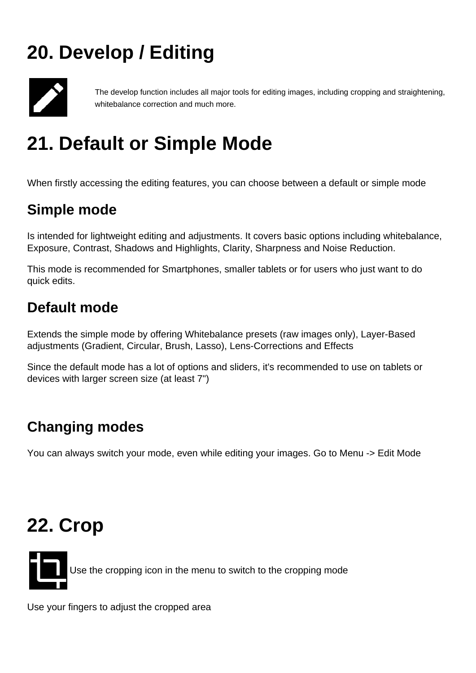# **20. Develop / Editing**



The develop function includes all major tools for editing images, including cropping and straightening, whitebalance correction and much more.

# **21. Default or Simple Mode**

When firstly accessing the editing features, you can choose between a default or simple mode

### **Simple mode**

Is intended for lightweight editing and adjustments. It covers basic options including whitebalance, Exposure, Contrast, Shadows and Highlights, Clarity, Sharpness and Noise Reduction.

This mode is recommended for Smartphones, smaller tablets or for users who just want to do quick edits.

### **Default mode**

Extends the simple mode by offering Whitebalance presets (raw images only), Layer-Based adjustments (Gradient, Circular, Brush, Lasso), Lens-Corrections and Effects

Since the default mode has a lot of options and sliders, it's recommended to use on tablets or devices with larger screen size (at least 7")

### **Changing modes**

You can always switch your mode, even while editing your images. Go to Menu -> Edit Mode

### **22. Crop**

Use the cropping icon in the menu to switch to the cropping mode

Use your fingers to adjust the cropped area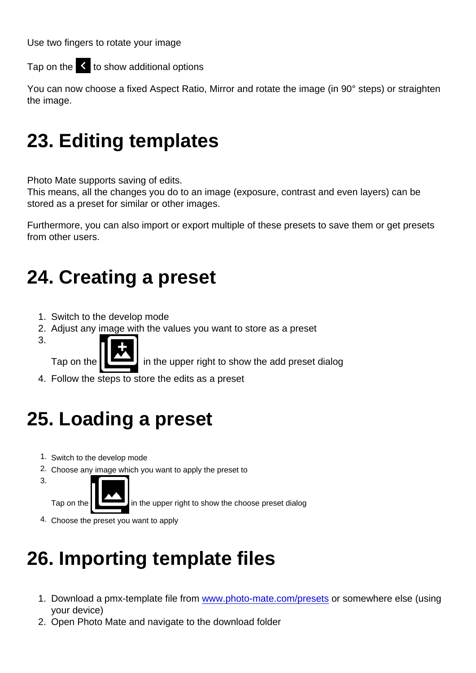Use two fingers to rotate your image

Tap on the  $\|\cdot\|$  to show additional options

You can now choose a fixed Aspect Ratio, Mirror and rotate the image (in 90° steps) or straighten the image.

## 23. Editing templates

Photo Mate supports saving of edits.

This means, all the changes you do to an image (exposure, contrast and even layers) can be stored as a preset for similar or other images.

Furthermore, you can also import or export multiple of these presets to save them or get presets from other users.

### 24. Creating a preset

- 1. Switch to the develop mode
- 2. Adjust any image with the values you want to store as a preset
- 3.

Tap on the in the upper right to show the add preset dialog

4. Follow the steps to store the edits as a preset

### 25. Loading a preset

- 1. Switch to the develop mode
- 2. Choose any image which you want to apply the preset to
- 3.

Tap on the in the upper right to show the choose preset dialog

4. Choose the preset you want to apply

# 26. Importing template files

- 1. Download a pmx-template file from [www.photo-mate.com/presets](http://www.photo-mate.com/presets) or somewhere else (using your device)
- 2. Open Photo Mate and navigate to the download folder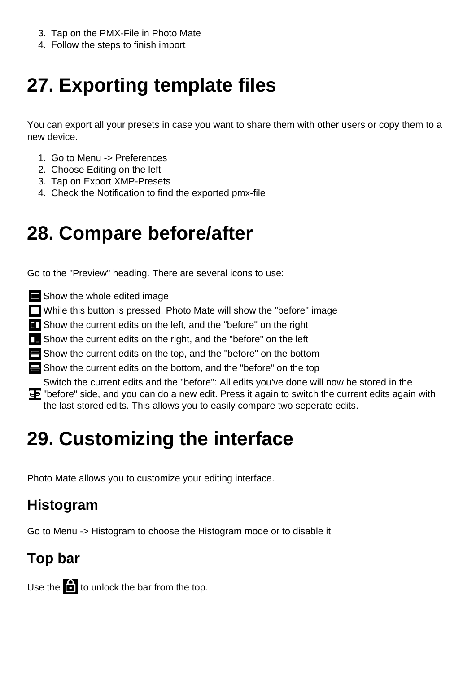- 3. Tap on the PMX-File in Photo Mate
- 4. Follow the steps to finish import

# **27. Exporting template files**

You can export all your presets in case you want to share them with other users or copy them to a new device.

- 1. Go to Menu -> Preferences
- 2. Choose Editing on the left
- 3. Tap on Export XMP-Presets
- 4. Check the Notification to find the exported pmx-file

## **28. Compare before/after**

Go to the "Preview" heading. There are several icons to use:

- Show the whole edited image
- While this button is pressed, Photo Mate will show the "before" image
- **Example 2** Show the current edits on the left, and the "before" on the right
- **T** Show the current edits on the right, and the "before" on the left
- Show the current edits on the top, and the "before" on the bottom
- Show the current edits on the bottom, and the "before" on the top

Switch the current edits and the "before": All edits you've done will now be stored in the "before" side, and you can do a new edit. Press it again to switch the current edits again with the last stored edits. This allows you to easily compare two seperate edits.

# **29. Customizing the interface**

Photo Mate allows you to customize your editing interface.

### **Histogram**

Go to Menu -> Histogram to choose the Histogram mode or to disable it

### **Top bar**

Use the  $\left| \frac{1}{2} \right|$  to unlock the bar from the top.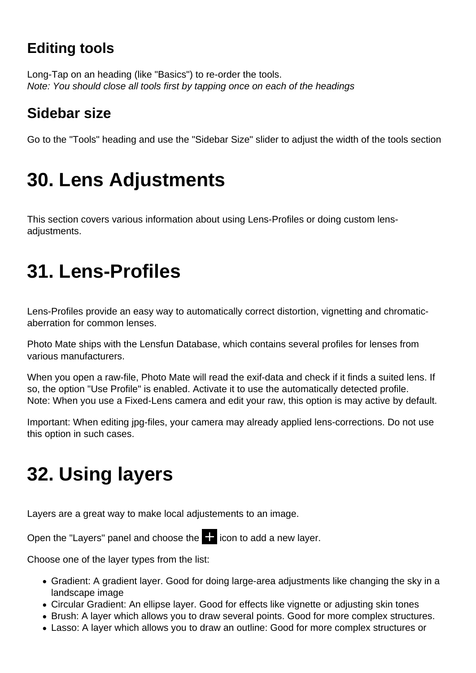### **Editing tools**

Long-Tap on an heading (like "Basics") to re-order the tools. Note: You should close all tools first by tapping once on each of the headings

### **Sidebar size**

Go to the "Tools" heading and use the "Sidebar Size" slider to adjust the width of the tools section

# **30. Lens Adjustments**

This section covers various information about using Lens-Profiles or doing custom lensadjustments.

# **31. Lens-Profiles**

Lens-Profiles provide an easy way to automatically correct distortion, vignetting and chromaticaberration for common lenses.

Photo Mate ships with the Lensfun Database, which contains several profiles for lenses from various manufacturers.

When you open a raw-file, Photo Mate will read the exif-data and check if it finds a suited lens. If so, the option "Use Profile" is enabled. Activate it to use the automatically detected profile. Note: When you use a Fixed-Lens camera and edit your raw, this option is may active by default.

Important: When editing jpg-files, your camera may already applied lens-corrections. Do not use this option in such cases.

# **32. Using layers**

Layers are a great way to make local adjustements to an image.

Open the "Layers" panel and choose the  $\Box$  icon to add a new layer.

Choose one of the layer types from the list:

- Gradient: A gradient layer. Good for doing large-area adjustments like changing the sky in a landscape image
- Circular Gradient: An ellipse layer. Good for effects like vignette or adjusting skin tones
- Brush: A layer which allows you to draw several points. Good for more complex structures.
- Lasso: A layer which allows you to draw an outline: Good for more complex structures or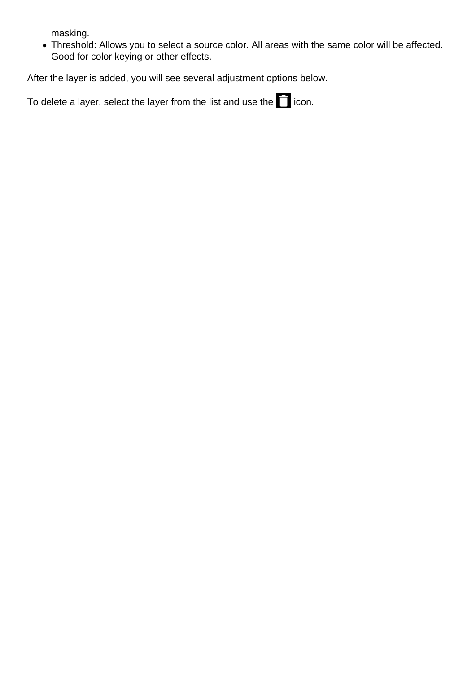masking.

Threshold: Allows you to select a source color. All areas with the same color will be affected. Good for color keying or other effects.

After the layer is added, you will see several adjustment options below.

To delete a layer, select the layer from the list and use the  $\Box$  icon.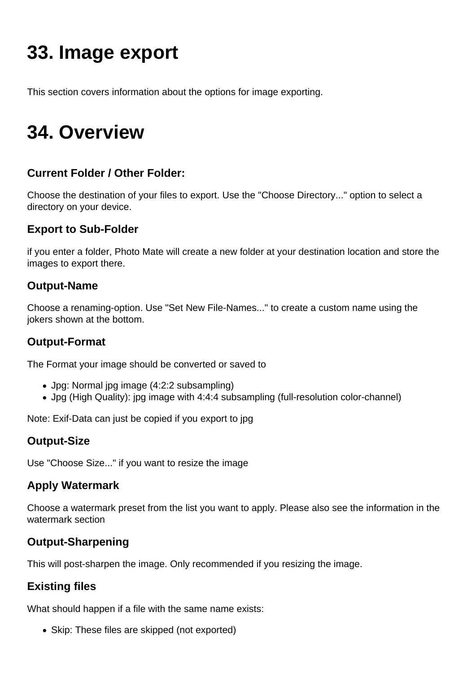# **33. Image export**

This section covers information about the options for image exporting.

### **34. Overview**

#### **Current Folder / Other Folder:**

Choose the destination of your files to export. Use the "Choose Directory..." option to select a directory on your device.

#### **Export to Sub-Folder**

if you enter a folder, Photo Mate will create a new folder at your destination location and store the images to export there.

#### **Output-Name**

Choose a renaming-option. Use "Set New File-Names..." to create a custom name using the jokers shown at the bottom.

#### **Output-Format**

The Format your image should be converted or saved to

- Jpg: Normal jpg image (4:2:2 subsampling)
- Jpg (High Quality): jpg image with 4:4:4 subsampling (full-resolution color-channel)

Note: Exif-Data can just be copied if you export to jpg

#### **Output-Size**

Use "Choose Size..." if you want to resize the image

#### **Apply Watermark**

Choose a watermark preset from the list you want to apply. Please also see the information in the watermark section

#### **Output-Sharpening**

This will post-sharpen the image. Only recommended if you resizing the image.

#### **Existing files**

What should happen if a file with the same name exists:

• Skip: These files are skipped (not exported)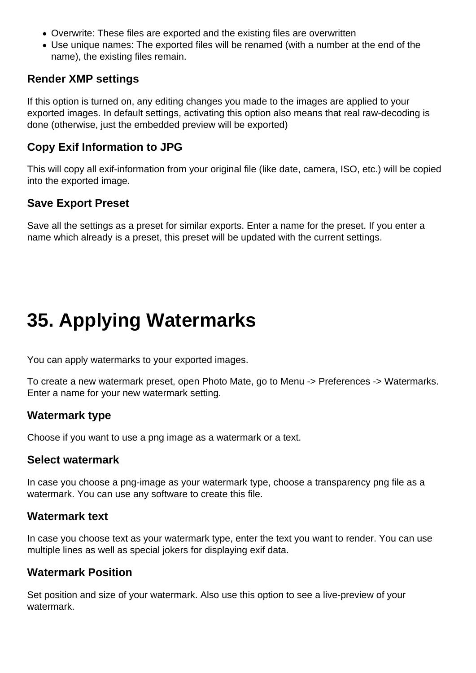- Overwrite: These files are exported and the existing files are overwritten
- Use unique names: The exported files will be renamed (with a number at the end of the name), the existing files remain.

#### **Render XMP settings**

If this option is turned on, any editing changes you made to the images are applied to your exported images. In default settings, activating this option also means that real raw-decoding is done (otherwise, just the embedded preview will be exported)

#### **Copy Exif Information to JPG**

This will copy all exif-information from your original file (like date, camera, ISO, etc.) will be copied into the exported image.

#### **Save Export Preset**

Save all the settings as a preset for similar exports. Enter a name for the preset. If you enter a name which already is a preset, this preset will be updated with the current settings.

### **35. Applying Watermarks**

You can apply watermarks to your exported images.

To create a new watermark preset, open Photo Mate, go to Menu -> Preferences -> Watermarks. Enter a name for your new watermark setting.

#### **Watermark type**

Choose if you want to use a png image as a watermark or a text.

#### **Select watermark**

In case you choose a png-image as your watermark type, choose a transparency png file as a watermark. You can use any software to create this file.

#### **Watermark text**

In case you choose text as your watermark type, enter the text you want to render. You can use multiple lines as well as special jokers for displaying exif data.

#### **Watermark Position**

Set position and size of your watermark. Also use this option to see a live-preview of your watermark.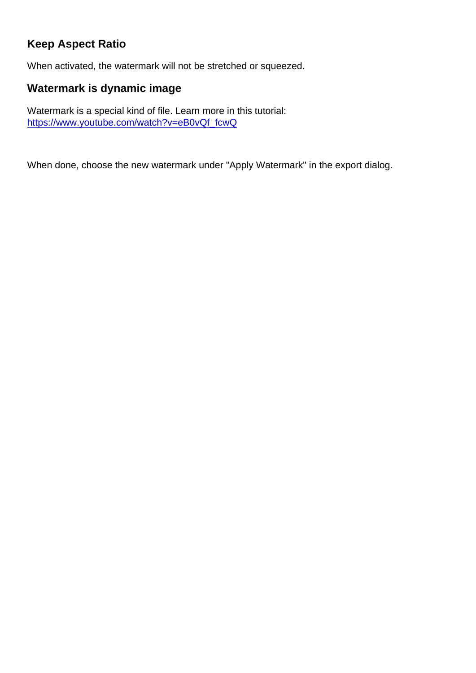#### Keep Aspect Ratio

When activated, the watermark will not be stretched or squeezed.

Watermark is dynamic image

Watermark is a special kind of file. Learn more in this tutorial: [https://www.youtube.com/watch?v=eB0vQf\\_fcwQ](https://www.youtube.com/watch?v=eB0vQf_fcwQ)

When done, choose the new watermark under "Apply Watermark" in the export dialog.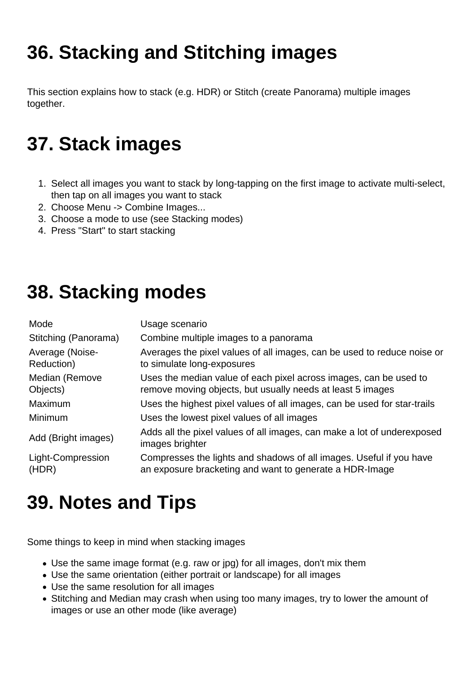# **36. Stacking and Stitching images**

This section explains how to stack (e.g. HDR) or Stitch (create Panorama) multiple images together.

# **37. Stack images**

- 1. Select all images you want to stack by long-tapping on the first image to activate multi-select, then tap on all images you want to stack
- 2. Choose Menu -> Combine Images...
- 3. Choose a mode to use (see Stacking modes)
- 4. Press "Start" to start stacking

## **38. Stacking modes**

| Mode                          | Usage scenario                                                                                                                  |  |
|-------------------------------|---------------------------------------------------------------------------------------------------------------------------------|--|
| Stitching (Panorama)          | Combine multiple images to a panorama                                                                                           |  |
| Average (Noise-<br>Reduction) | Averages the pixel values of all images, can be used to reduce noise or<br>to simulate long-exposures                           |  |
| Median (Remove<br>Objects)    | Uses the median value of each pixel across images, can be used to<br>remove moving objects, but usually needs at least 5 images |  |
| Maximum                       | Uses the highest pixel values of all images, can be used for star-trails                                                        |  |
| Minimum                       | Uses the lowest pixel values of all images                                                                                      |  |
| Add (Bright images)           | Adds all the pixel values of all images, can make a lot of underexposed<br>images brighter                                      |  |
| Light-Compression<br>(HDR)    | Compresses the lights and shadows of all images. Useful if you have<br>an exposure bracketing and want to generate a HDR-Image  |  |

# **39. Notes and Tips**

Some things to keep in mind when stacking images

- Use the same image format (e.g. raw or jpg) for all images, don't mix them
- Use the same orientation (either portrait or landscape) for all images
- Use the same resolution for all images
- Stitching and Median may crash when using too many images, try to lower the amount of images or use an other mode (like average)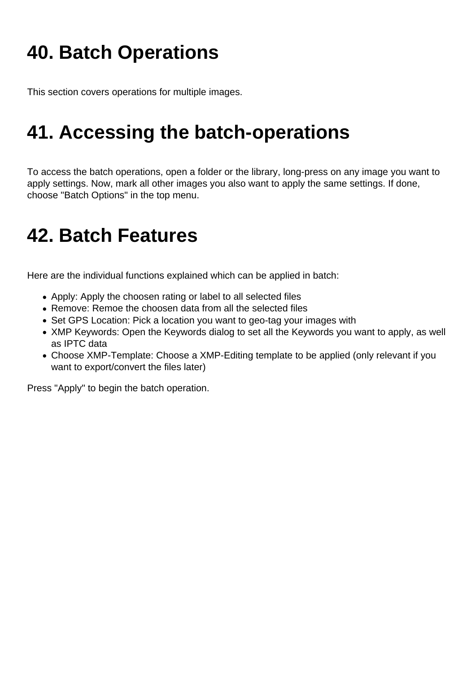# **40. Batch Operations**

This section covers operations for multiple images.

### **41. Accessing the batch-operations**

To access the batch operations, open a folder or the library, long-press on any image you want to apply settings. Now, mark all other images you also want to apply the same settings. If done, choose "Batch Options" in the top menu.

## **42. Batch Features**

Here are the individual functions explained which can be applied in batch:

- Apply: Apply the choosen rating or label to all selected files
- Remove: Remoe the choosen data from all the selected files
- Set GPS Location: Pick a location you want to geo-tag your images with
- XMP Keywords: Open the Keywords dialog to set all the Keywords you want to apply, as well as IPTC data
- Choose XMP-Template: Choose a XMP-Editing template to be applied (only relevant if you want to export/convert the files later)

Press "Apply" to begin the batch operation.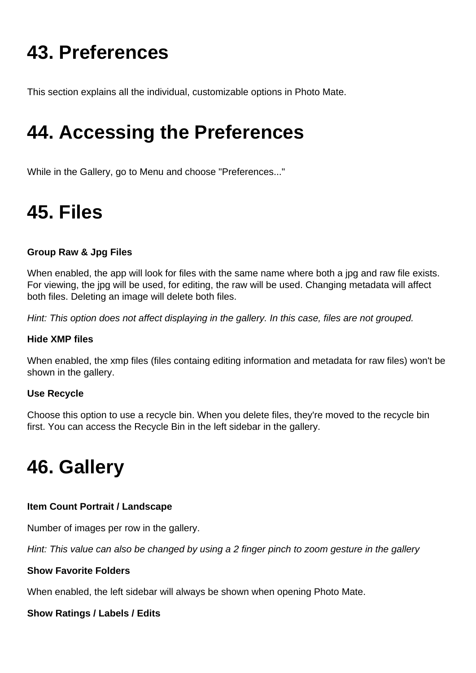# **43. Preferences**

This section explains all the individual, customizable options in Photo Mate.

## **44. Accessing the Preferences**

While in the Gallery, go to Menu and choose "Preferences..."

# **45. Files**

#### **Group Raw & Jpg Files**

When enabled, the app will look for files with the same name where both a jpg and raw file exists. For viewing, the jpg will be used, for editing, the raw will be used. Changing metadata will affect both files. Deleting an image will delete both files.

Hint: This option does not affect displaying in the gallery. In this case, files are not grouped.

#### **Hide XMP files**

When enabled, the xmp files (files containg editing information and metadata for raw files) won't be shown in the gallery.

#### **Use Recycle**

Choose this option to use a recycle bin. When you delete files, they're moved to the recycle bin first. You can access the Recycle Bin in the left sidebar in the gallery.

## **46. Gallery**

#### **Item Count Portrait / Landscape**

Number of images per row in the gallery.

Hint: This value can also be changed by using a 2 finger pinch to zoom gesture in the gallery

#### **Show Favorite Folders**

When enabled, the left sidebar will always be shown when opening Photo Mate.

#### **Show Ratings / Labels / Edits**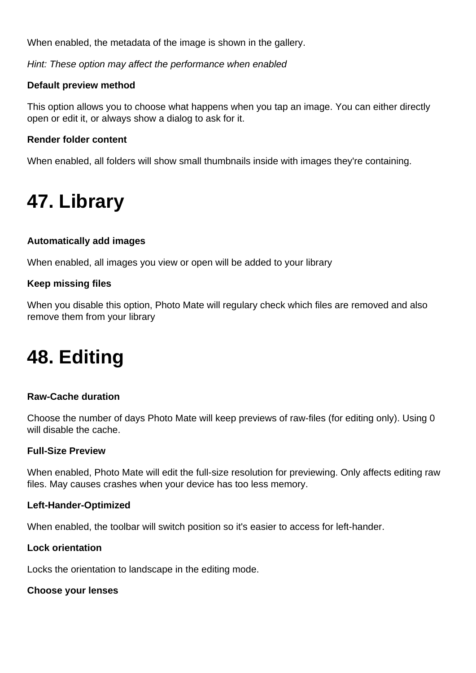When enabled, the metadata of the image is shown in the gallery.

Hint: These option may affect the performance when enabled

#### **Default preview method**

This option allows you to choose what happens when you tap an image. You can either directly open or edit it, or always show a dialog to ask for it.

#### **Render folder content**

When enabled, all folders will show small thumbnails inside with images they're containing.

### **47. Library**

#### **Automatically add images**

When enabled, all images you view or open will be added to your library

#### **Keep missing files**

When you disable this option, Photo Mate will regulary check which files are removed and also remove them from your library

### **48. Editing**

#### **Raw-Cache duration**

Choose the number of days Photo Mate will keep previews of raw-files (for editing only). Using 0 will disable the cache.

#### **Full-Size Preview**

When enabled, Photo Mate will edit the full-size resolution for previewing. Only affects editing raw files. May causes crashes when your device has too less memory.

#### **Left-Hander-Optimized**

When enabled, the toolbar will switch position so it's easier to access for left-hander.

#### **Lock orientation**

Locks the orientation to landscape in the editing mode.

#### **Choose your lenses**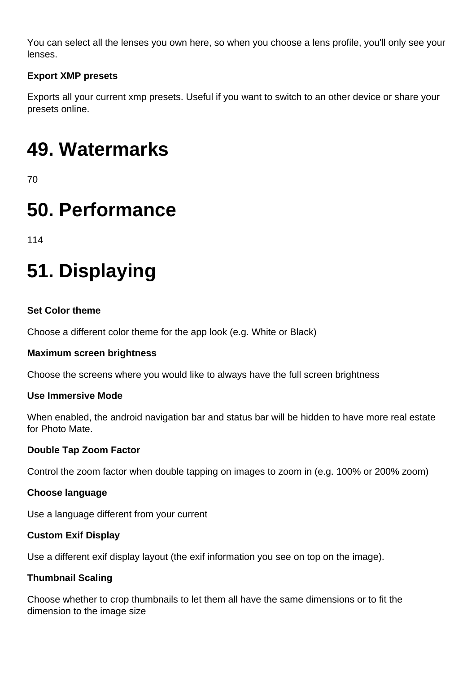You can select all the lenses you own here, so when you choose a lens profile, you'll only see your lenses.

#### **Export XMP presets**

Exports all your current xmp presets. Useful if you want to switch to an other device or share your presets online.

## **49. Watermarks**

70

### **50. Performance**

114

# **51. Displaying**

#### **Set Color theme**

Choose a different color theme for the app look (e.g. White or Black)

#### **Maximum screen brightness**

Choose the screens where you would like to always have the full screen brightness

#### **Use Immersive Mode**

When enabled, the android navigation bar and status bar will be hidden to have more real estate for Photo Mate.

#### **Double Tap Zoom Factor**

Control the zoom factor when double tapping on images to zoom in (e.g. 100% or 200% zoom)

#### **Choose language**

Use a language different from your current

#### **Custom Exif Display**

Use a different exif display layout (the exif information you see on top on the image).

#### **Thumbnail Scaling**

Choose whether to crop thumbnails to let them all have the same dimensions or to fit the dimension to the image size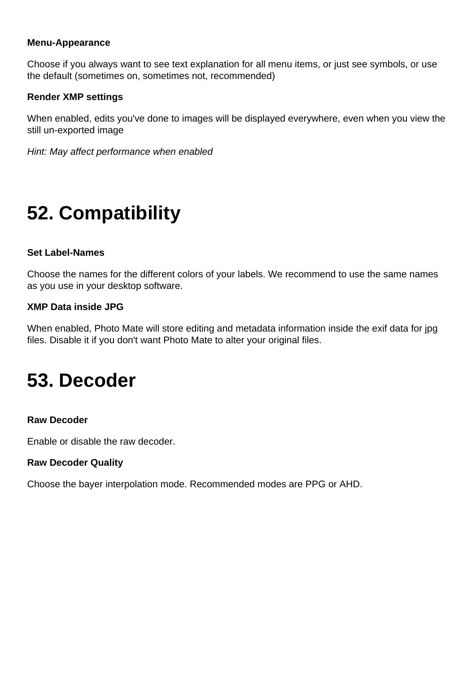#### **Menu-Appearance**

Choose if you always want to see text explanation for all menu items, or just see symbols, or use the default (sometimes on, sometimes not, recommended)

#### **Render XMP settings**

When enabled, edits you've done to images will be displayed everywhere, even when you view the still un-exported image

Hint: May affect performance when enabled

## **52. Compatibility**

#### **Set Label-Names**

Choose the names for the different colors of your labels. We recommend to use the same names as you use in your desktop software.

#### **XMP Data inside JPG**

When enabled, Photo Mate will store editing and metadata information inside the exif data for jpg files. Disable it if you don't want Photo Mate to alter your original files.

### **53. Decoder**

#### **Raw Decoder**

Enable or disable the raw decoder.

#### **Raw Decoder Quality**

Choose the bayer interpolation mode. Recommended modes are PPG or AHD.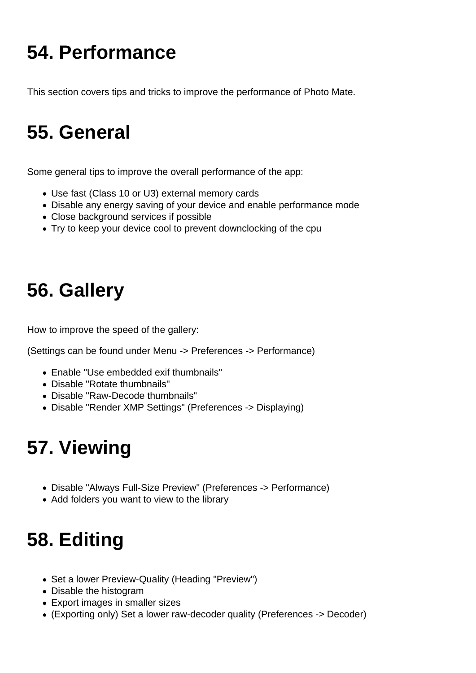# **54. Performance**

This section covers tips and tricks to improve the performance of Photo Mate.

### **55. General**

Some general tips to improve the overall performance of the app:

- Use fast (Class 10 or U3) external memory cards
- Disable any energy saving of your device and enable performance mode
- Close background services if possible
- Try to keep your device cool to prevent downclocking of the cpu

## **56. Gallery**

How to improve the speed of the gallery:

(Settings can be found under Menu -> Preferences -> Performance)

- Enable "Use embedded exif thumbnails"
- Disable "Rotate thumbnails"
- Disable "Raw-Decode thumbnails"
- Disable "Render XMP Settings" (Preferences -> Displaying)

# **57. Viewing**

- Disable "Always Full-Size Preview" (Preferences -> Performance)
- Add folders you want to view to the library

# **58. Editing**

- Set a lower Preview-Quality (Heading "Preview")
- Disable the histogram
- Export images in smaller sizes
- (Exporting only) Set a lower raw-decoder quality (Preferences -> Decoder)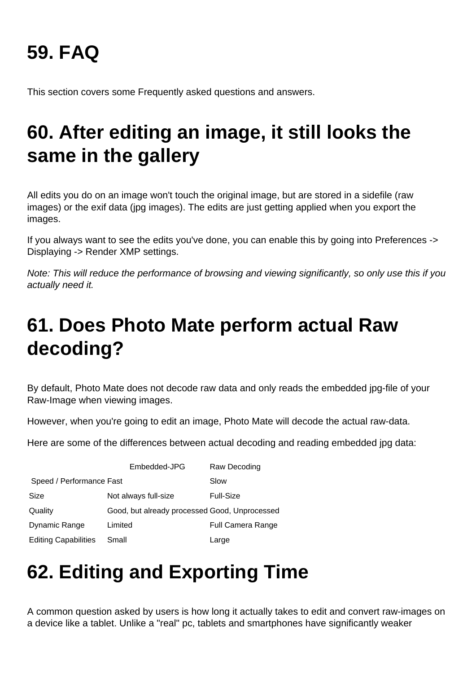# **59. FAQ**

This section covers some Frequently asked questions and answers.

# **60. After editing an image, it still looks the same in the gallery**

All edits you do on an image won't touch the original image, but are stored in a sidefile (raw images) or the exif data (jpg images). The edits are just getting applied when you export the images.

If you always want to see the edits you've done, you can enable this by going into Preferences -> Displaying -> Render XMP settings.

Note: This will reduce the performance of browsing and viewing significantly, so only use this if you actually need it.

# **61. Does Photo Mate perform actual Raw decoding?**

By default, Photo Mate does not decode raw data and only reads the embedded jpg-file of your Raw-Image when viewing images.

However, when you're going to edit an image, Photo Mate will decode the actual raw-data.

Here are some of the differences between actual decoding and reading embedded jpg data:

|                             | Embedded-JPG                                  | Raw Decoding             |
|-----------------------------|-----------------------------------------------|--------------------------|
| Speed / Performance Fast    |                                               | Slow                     |
| Size                        | Not always full-size                          | Full-Size                |
| Quality                     | Good, but already processed Good, Unprocessed |                          |
| Dynamic Range               | Limited                                       | <b>Full Camera Range</b> |
| <b>Editing Capabilities</b> | Small                                         | Large                    |

# **62. Editing and Exporting Time**

A common question asked by users is how long it actually takes to edit and convert raw-images on a device like a tablet. Unlike a "real" pc, tablets and smartphones have significantly weaker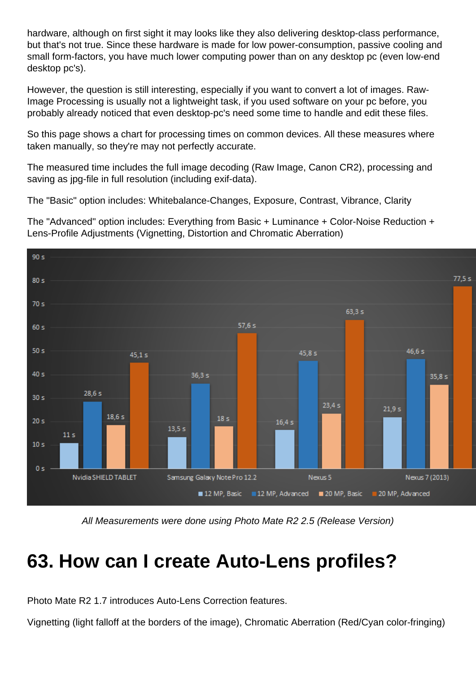hardware, although on first sight it may looks like they also delivering desktop-class performance, but that's not true. Since these hardware is made for low power-consumption, passive cooling and small form-factors, you have much lower computing power than on any desktop pc (even low-end desktop pc's).

However, the question is still interesting, especially if you want to convert a lot of images. Raw-Image Processing is usually not a lightweight task, if you used software on your pc before, you probably already noticed that even desktop-pc's need some time to handle and edit these files.

So this page shows a chart for processing times on common devices. All these measures where taken manually, so they're may not perfectly accurate.

The measured time includes the full image decoding (Raw Image, Canon CR2), processing and saving as jpg-file in full resolution (including exif-data).

The "Basic" option includes: Whitebalance-Changes, Exposure, Contrast, Vibrance, Clarity

The "Advanced" option includes: Everything from Basic + Luminance + Color-Noise Reduction + Lens-Profile Adjustments (Vignetting, Distortion and Chromatic Aberration)



All Measurements were done using Photo Mate R2 2.5 (Release Version)

## **63. How can I create Auto-Lens profiles?**

Photo Mate R2 1.7 introduces Auto-Lens Correction features.

Vignetting (light falloff at the borders of the image), Chromatic Aberration (Red/Cyan color-fringing)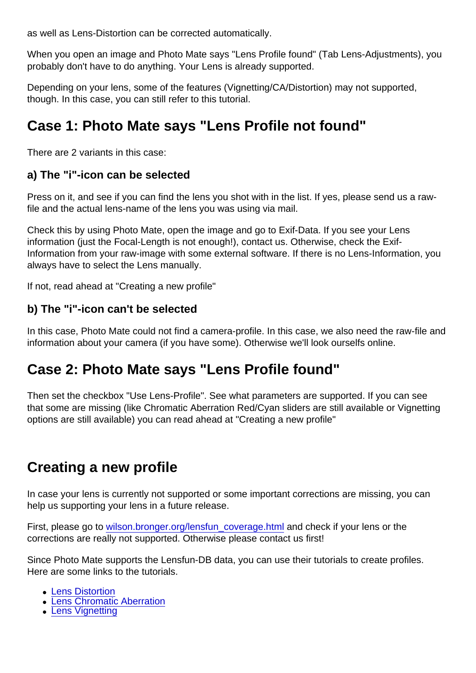as well as Lens-Distortion can be corrected automatically.

When you open an image and Photo Mate says "Lens Profile found" (Tab Lens-Adjustments), you probably don't have to do anything. Your Lens is already supported.

Depending on your lens, some of the features (Vignetting/CA/Distortion) may not supported, though. In this case, you can still refer to this tutorial.

### Case 1: Photo Mate says "Lens Profile not found"

There are 2 variants in this case:

a) The "i"-icon can be selected

Press on it, and see if you can find the lens you shot with in the list. If yes, please send us a rawfile and the actual lens-name of the lens you was using via mail.

Check this by using Photo Mate, open the image and go to Exif-Data. If you see your Lens information (just the Focal-Length is not enough!), contact us. Otherwise, check the Exif-Information from your raw-image with some external software. If there is no Lens-Information, you always have to select the Lens manually.

If not, read ahead at "Creating a new profile"

b) The "i"-icon can't be selected

In this case, Photo Mate could not find a camera-profile. In this case, we also need the raw-file and information about your camera (if you have some). Otherwise we'll look ourselfs online.

### Case 2: Photo Mate says "Lens Profile found"

Then set the checkbox "Use Lens-Profile". See what parameters are supported. If you can see that some are missing (like Chromatic Aberration Red/Cyan sliders are still available or Vignetting options are still available) you can read ahead at "Creating a new profile"

### Creating a new profile

In case your lens is currently not supported or some important corrections are missing, you can help us supporting your lens in a future release.

First, please go to [wilson.bronger.org/lensfun\\_coverage.html](http://wilson.bronger.org/lensfun_coverage.html) and check if your lens or the corrections are really not supported. Otherwise please contact us first!

Since Photo Mate supports the Lensfun-DB data, you can use their tutorials to create profiles. Here are some links to the tutorials.

- **[Lens Distortion](http://lensfun.sourceforge.net/calibration-tutorial/lens-distortion.html)**
- **[Lens Chromatic Aberration](http://lensfun.sourceforge.net/calibration-tutorial/lens-tca.html)**
- [Lens Vignetting](http://lensfun.sourceforge.net/calibration-tutorial/lens-vignetting.html)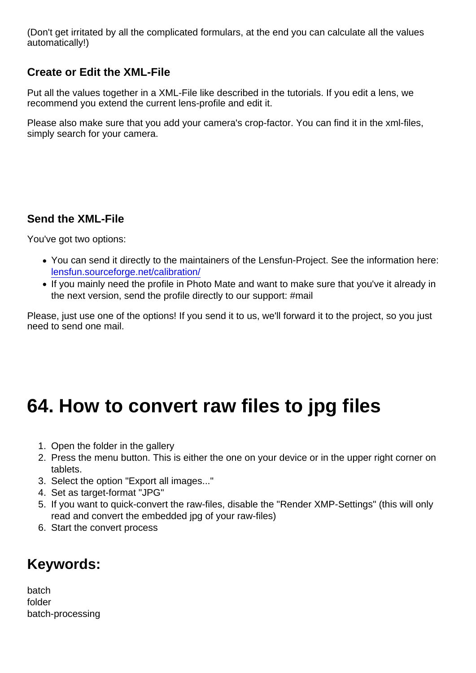(Don't get irritated by all the complicated formulars, at the end you can calculate all the values automatically!)

#### Create or Edit the XML-File

Put all the values together in a XML-File like described in the tutorials. If you edit a lens, we recommend you extend the current lens-profile and edit it.

Please also make sure that you add your camera's crop-factor. You can find it in the xml-files, simply search for your camera.

#### Send the XML-File

You've got two options:

- You can send it directly to the maintainers of the Lensfun-Project. See the information here: [lensfun.sourceforge.net/calibration/](http://lensfun.sourceforge.net/calibration/)
- If you mainly need the profile in Photo Mate and want to make sure that you've it already in the next version, send the profile directly to our support: #mail

Please, just use one of the options! If you send it to us, we'll forward it to the project, so you just need to send one mail.

### 64. How to convert raw files to jpg files

- 1. Open the folder in the gallery
- 2. Press the menu button. This is either the one on your device or in the upper right corner on tablets.
- 3. Select the option "Export all images..."
- 4. Set as target-format "JPG"
- 5. If you want to quick-convert the raw-files, disable the "Render XMP-Settings" (this will only read and convert the embedded jpg of your raw-files)
- 6. Start the convert process

### Keywords:

batch folder batch-processing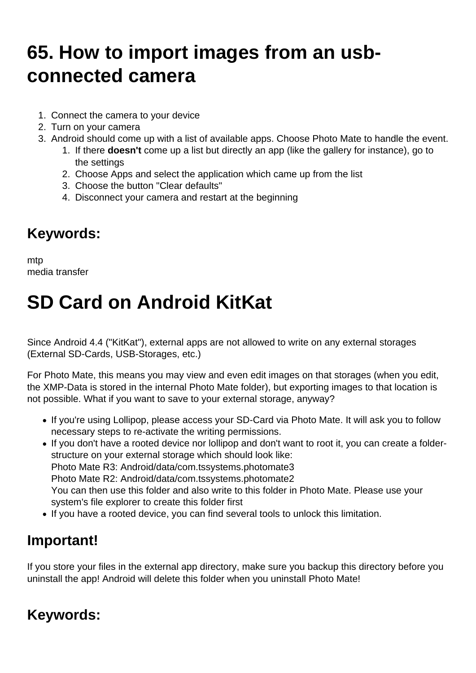# **65. How to import images from an usbconnected camera**

- 1. Connect the camera to your device
- 2. Turn on your camera
- 3. Android should come up with a list of available apps. Choose Photo Mate to handle the event.
	- 1. If there **doesn't** come up a list but directly an app (like the gallery for instance), go to the settings
	- 2. Choose Apps and select the application which came up from the list
	- 3. Choose the button "Clear defaults"
	- 4. Disconnect your camera and restart at the beginning

### **Keywords:**

mtp media transfer

# **SD Card on Android KitKat**

Since Android 4.4 ("KitKat"), external apps are not allowed to write on any external storages (External SD-Cards, USB-Storages, etc.)

For Photo Mate, this means you may view and even edit images on that storages (when you edit, the XMP-Data is stored in the internal Photo Mate folder), but exporting images to that location is not possible. What if you want to save to your external storage, anyway?

- If you're using Lollipop, please access your SD-Card via Photo Mate. It will ask you to follow necessary steps to re-activate the writing permissions.
- If you don't have a rooted device nor lollipop and don't want to root it, you can create a folderstructure on your external storage which should look like: Photo Mate R3: Android/data/com.tssystems.photomate3 Photo Mate R2: Android/data/com.tssystems.photomate2 You can then use this folder and also write to this folder in Photo Mate. Please use your system's file explorer to create this folder first
- If you have a rooted device, you can find several tools to unlock this limitation.

### **Important!**

If you store your files in the external app directory, make sure you backup this directory before you uninstall the app! Android will delete this folder when you uninstall Photo Mate!

### **Keywords:**